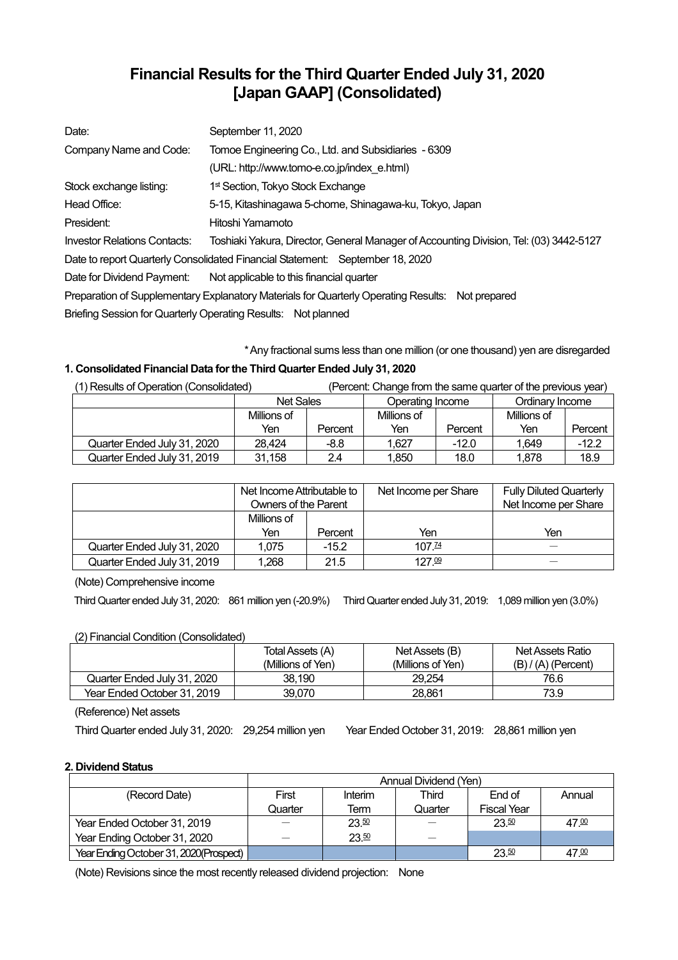# **Financial Results for the Third Quarter Ended July 31, 2020 [Japan GAAP] (Consolidated)**

| Date:                               | September 11, 2020                                                                               |  |  |  |
|-------------------------------------|--------------------------------------------------------------------------------------------------|--|--|--|
| Company Name and Code:              | Tomoe Engineering Co., Ltd. and Subsidiaries - 6309                                              |  |  |  |
|                                     | (URL: http://www.tomo-e.co.jp/index e.html)                                                      |  |  |  |
| Stock exchange listing:             | 1 <sup>st</sup> Section, Tokyo Stock Exchange                                                    |  |  |  |
| Head Office:                        | 5-15, Kitashinagawa 5-chome, Shinagawa-ku, Tokyo, Japan                                          |  |  |  |
| President:                          | Hitoshi Yamamoto                                                                                 |  |  |  |
| <b>Investor Relations Contacts:</b> | Toshiaki Yakura, Director, General Manager of Accounting Division, Tel: (03) 3442-5127           |  |  |  |
|                                     | Date to report Quarterly Consolidated Financial Statement: September 18, 2020                    |  |  |  |
| Date for Dividend Payment:          | Not applicable to this financial quarter                                                         |  |  |  |
|                                     | Preparation of Supplementary Explanatory Materials for Quarterly Operating Results: Not prepared |  |  |  |
|                                     | Briefing Session for Quarterly Operating Results: Not planned                                    |  |  |  |

\*Any fractional sums less than one million (or one thousand) yen are disregarded

## **1. Consolidated Financial Data forthe Third Quarter Ended July 31, 2020**

| (1) Results of Operation (Consolidated) |                  |         |                  |         | (Percent: Change from the same quarter of the previous year) |         |
|-----------------------------------------|------------------|---------|------------------|---------|--------------------------------------------------------------|---------|
|                                         | <b>Net Sales</b> |         | Operating Income |         | Ordinary Income                                              |         |
|                                         | Millions of      |         | Millions of      |         | Millions of                                                  |         |
|                                         | Yen              | Percent | Yen              | Percent | Yen                                                          | Percent |
| Quarter Ended July 31, 2020             | 28.424           | -8.8    | 1.627            | $-12.0$ | 1.649                                                        | $-12.2$ |
| Quarter Ended July 31, 2019             | 31,158           | 2.4     | 1.850            | 18.0    | 1.878                                                        | 18.9    |

|                             | Net Income Attributable to<br><b>Owners of the Parent</b> |         | Net Income per Share | <b>Fully Diluted Quarterly</b><br>Net Income per Share |
|-----------------------------|-----------------------------------------------------------|---------|----------------------|--------------------------------------------------------|
|                             | Millions of<br>Yen                                        | Percent | Yen                  | Yen                                                    |
| Quarter Ended July 31, 2020 | 1.075                                                     | $-15.2$ | $107\frac{74}{7}$    |                                                        |
| Quarter Ended July 31, 2019 | 1.268                                                     | 21.5    | 127.09               |                                                        |

(Note) Comprehensive income

Third Quarter ended July 31, 2020: 861 million yen (-20.9%) Third Quarter ended July 31, 2019: 1,089 million yen (3.0%)

## (2) Financial Condition (Consolidated)

|                             | Total Assets (A)  | Net Assets (B)    | Net Assets Ratio      |
|-----------------------------|-------------------|-------------------|-----------------------|
|                             | (Millions of Yen) | (Millions of Yen) | $(B) / (A)$ (Percent) |
| Quarter Ended July 31, 2020 | 38.190            | 29.254            | 76.6                  |
| Year Ended October 31, 2019 | 39,070            | 28.861            | 73.9                  |

(Reference) Net assets

Third Quarter ended July 31, 2020: 29,254 million yen Year Ended October 31, 2019: 28,861 million yen

## **2. Dividend Status**

|                                        | Annual Dividend (Yen) |         |         |                    |        |  |
|----------------------------------------|-----------------------|---------|---------|--------------------|--------|--|
| (Record Date)                          | First                 | Interim | Third   | End of             | Annual |  |
|                                        | Quarter               | Term    | Quarter | <b>Fiscal Year</b> |        |  |
| Year Ended October 31, 2019            |                       | 23.50   |         | 23.50              | 47.00  |  |
| Year Ending October 31, 2020           |                       | 23.50   |         |                    |        |  |
| Year Ending October 31, 2020(Prospect) |                       |         |         | 23.50              | 47.00  |  |

(Note) Revisions since the most recently released dividend projection: None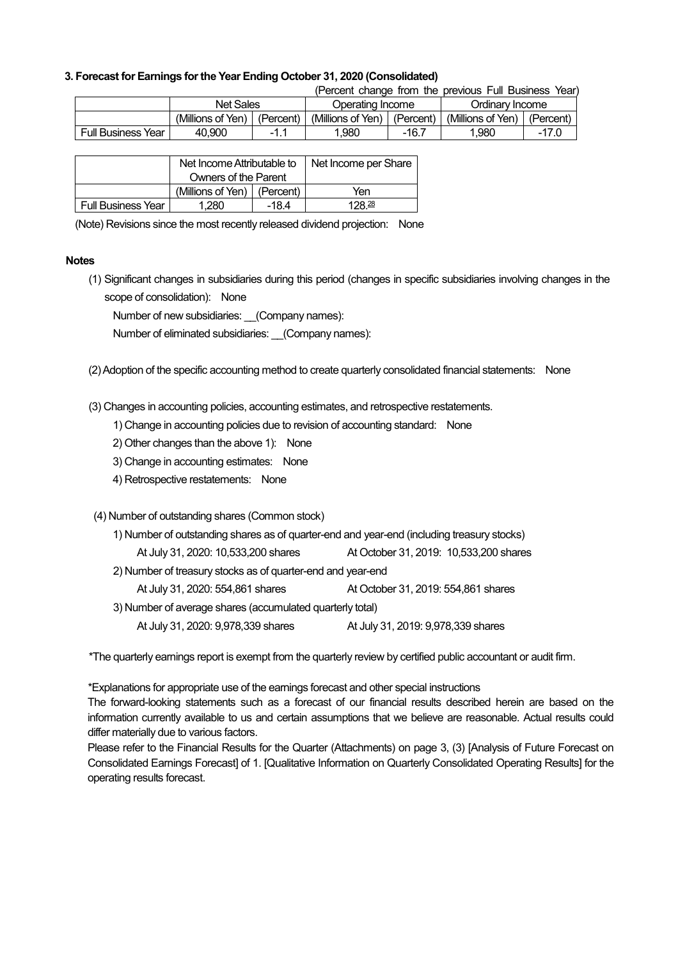### **3. Forecast for Earnings forthe Year Ending October 31, 2020 (Consolidated)**

(Percent change from the previous Full Business Year)

|                              | Net Sales         |             | Operating Income  |           | Ordinarv Income   |           |
|------------------------------|-------------------|-------------|-------------------|-----------|-------------------|-----------|
|                              | (Millions of Yen) | (Percent)   | (Millions of Yen) | (Percent) | (Millions of Yen) | (Percent) |
| <b>Full Business</b><br>Year | 40.900            | - 1<br>- 1. | .980              | $-16.7$   | 1.980             |           |

|                           | Net Income Attributable to      |         | Net Income per Share |
|---------------------------|---------------------------------|---------|----------------------|
|                           | Owners of the Parent            |         |                      |
|                           | (Millions of Yen) $ $ (Percent) |         | Yen                  |
| <b>Full Business Year</b> | 1.280                           | $-18.4$ | 128 <sup>28</sup>    |

(Note) Revisions since the most recently released dividend projection: None

#### **Notes**

(1) Significant changes in subsidiaries during this period (changes in specific subsidiaries involving changes in the scope of consolidation): None

Number of new subsidiaries: (Company names):

Number of eliminated subsidiaries: (Company names):

(2)Adoption of the specific accounting method to create quarterly consolidated financial statements: None

(3) Changes in accounting policies, accounting estimates, and retrospective restatements.

- 1) Change in accounting policies due to revision of accounting standard: None
- 2) Other changes than the above 1): None
- 3) Change in accounting estimates: None
- 4) Retrospective restatements: None
- (4) Number of outstanding shares (Common stock)

| 1) Number of outstanding shares as of quarter-end and year-end (including treasury stocks) |                                        |  |  |  |  |
|--------------------------------------------------------------------------------------------|----------------------------------------|--|--|--|--|
| At July 31, 2020: 10,533,200 shares                                                        | At October 31, 2019: 10,533,200 shares |  |  |  |  |
| 2) Number of treasury stocks as of quarter-end and year-end                                |                                        |  |  |  |  |
| At July 31, 2020: 554,861 shares                                                           | At October 31, 2019: 554,861 shares    |  |  |  |  |
| 3) Number of average shares (accumulated quarterly total)                                  |                                        |  |  |  |  |
| At July 31, 2020: 9,978,339 shares                                                         | At July 31, 2019: 9,978,339 shares     |  |  |  |  |

\*The quarterly earnings report is exempt from the quarterly review by certified public accountant or audit firm.

\*Explanations for appropriate use of the earnings forecast and other special instructions

The forward-looking statements such as a forecast of our financial results described herein are based on the information currently available to us and certain assumptions that we believe are reasonable. Actual results could differ materially due to various factors.

Please refer to the Financial Results for the Quarter (Attachments) on page 3, (3) [Analysis of Future Forecast on Consolidated Earnings Forecast] of 1. [Qualitative Information on Quarterly Consolidated Operating Results] for the operating results forecast.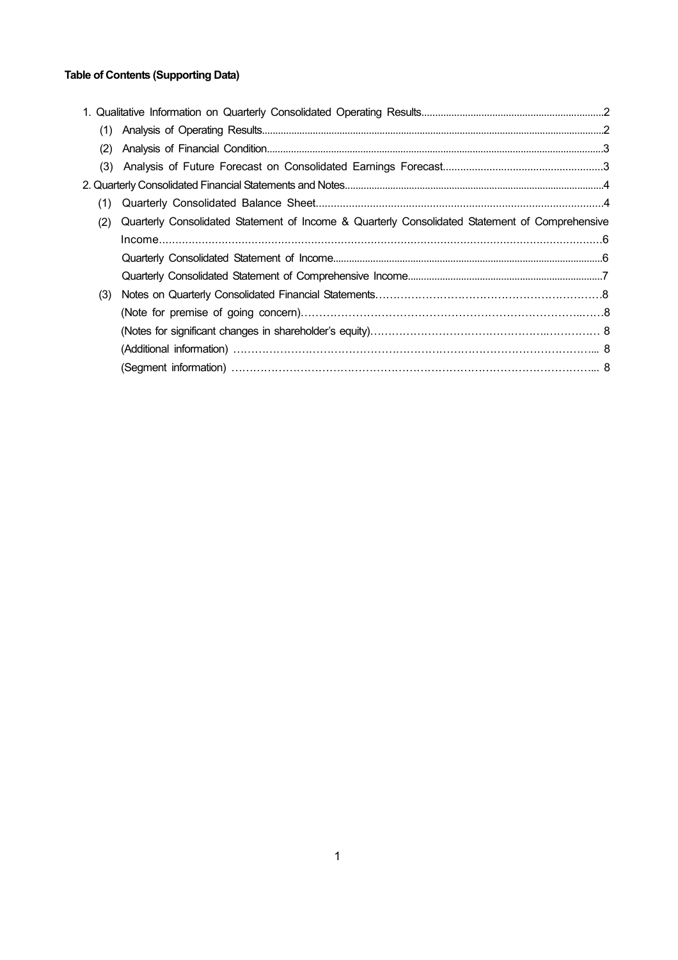## **Table of Contents (Supporting Data)**

| (1) |                                                                                                |  |
|-----|------------------------------------------------------------------------------------------------|--|
| (2) |                                                                                                |  |
| (3) |                                                                                                |  |
|     |                                                                                                |  |
| (1) |                                                                                                |  |
| (2) | Quarterly Consolidated Statement of Income & Quarterly Consolidated Statement of Comprehensive |  |
|     |                                                                                                |  |
|     |                                                                                                |  |
|     |                                                                                                |  |
| (3) |                                                                                                |  |
|     |                                                                                                |  |
|     |                                                                                                |  |
|     |                                                                                                |  |
|     |                                                                                                |  |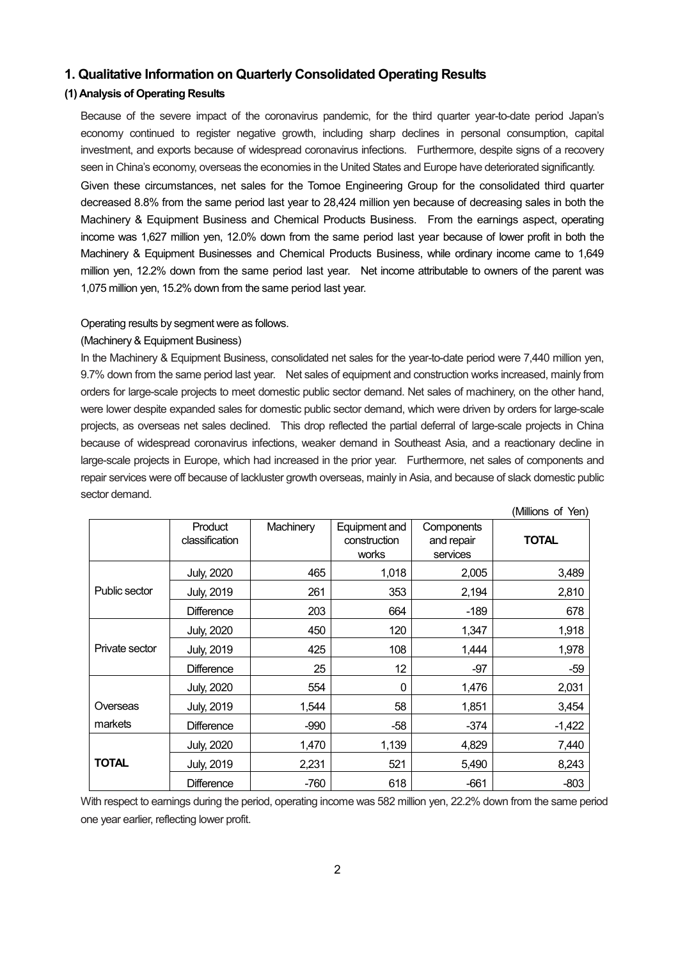### **1. Qualitative Information on Quarterly Consolidated Operating Results**

## **(1) Analysis of Operating Results**

Because of the severe impact of the coronavirus pandemic, for the third quarter year-to-date period Japan's economy continued to register negative growth, including sharp declines in personal consumption, capital investment, and exports because of widespread coronavirus infections. Furthermore, despite signs of a recovery seen in China's economy, overseas the economies in the United States and Europe have deteriorated significantly. Given these circumstances, net sales for the Tomoe Engineering Group for the consolidated third quarter decreased 8.8% from the same period last year to 28,424 million yen because of decreasing sales in both the Machinery & Equipment Business and Chemical Products Business. From the earnings aspect, operating income was 1,627 million yen, 12.0% down from the same period last year because of lower profit in both the Machinery & Equipment Businesses and Chemical Products Business, while ordinary income came to 1,649 million yen, 12.2% down from the same period last year. Net income attributable to owners of the parent was 1,075 million yen, 15.2% down from the same period last year.

#### Operating results by segment were as follows.

#### (Machinery & Equipment Business)

In the Machinery & Equipment Business, consolidated net sales for the year-to-date period were 7,440 million yen, 9.7% down from the same period last year. Net sales of equipment and construction works increased, mainly from orders for large-scale projects to meet domestic public sector demand. Net sales of machinery, on the other hand, were lower despite expanded sales for domestic public sector demand, which were driven by orders for large-scale projects, as overseas net sales declined. This drop reflected the partial deferral of large-scale projects in China because of widespread coronavirus infections, weaker demand in Southeast Asia, and a reactionary decline in large-scale projects in Europe, which had increased in the prior year. Furthermore, net sales of components and repair services were off because of lackluster growth overseas, mainly in Asia, and because of slack domestic public sector demand.

|                |                           |           |                                        |                                      | (Millions of Yen) |
|----------------|---------------------------|-----------|----------------------------------------|--------------------------------------|-------------------|
|                | Product<br>classification | Machinery | Equipment and<br>construction<br>works | Components<br>and repair<br>services | <b>TOTAL</b>      |
|                | <b>July, 2020</b>         | 465       | 1,018                                  | 2,005                                | 3,489             |
| Public sector  | <b>July, 2019</b>         | 261       | 353                                    | 2,194                                | 2,810             |
|                | <b>Difference</b>         | 203       | 664                                    | -189                                 | 678               |
|                | <b>July, 2020</b>         | 450       | 120                                    | 1,347                                | 1,918             |
| Private sector | <b>July, 2019</b>         | 425       | 108                                    | 1,444                                | 1,978             |
|                | <b>Difference</b>         | 25        | 12                                     | $-97$                                | $-59$             |
|                | <b>July, 2020</b>         | 554       | 0                                      | 1,476                                | 2,031             |
| Overseas       | <b>July, 2019</b>         | 1,544     | 58                                     | 1,851                                | 3,454             |
| markets        | <b>Difference</b>         | $-990$    | $-58$                                  | $-374$                               | $-1,422$          |
|                | <b>July, 2020</b>         | 1,470     | 1,139                                  | 4,829                                | 7,440             |
| <b>TOTAL</b>   | <b>July, 2019</b>         | 2,231     | 521                                    | 5,490                                | 8,243             |
|                | <b>Difference</b>         | $-760$    | 618                                    | $-661$                               | $-803$            |

With respect to earnings during the period, operating income was 582 million yen, 22.2% down from the same period one year earlier, reflecting lower profit.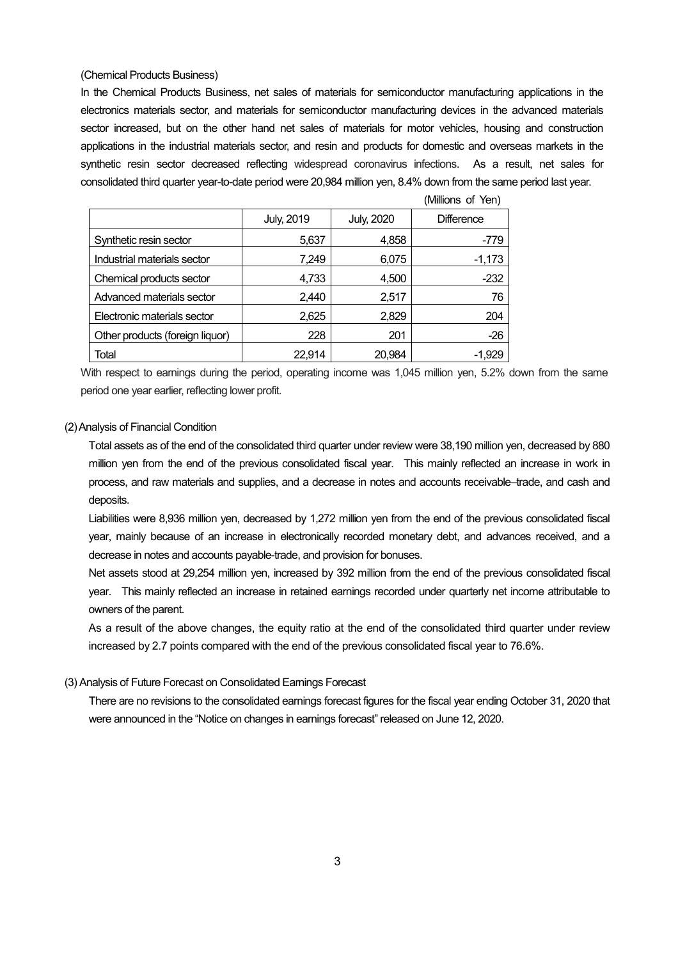#### (Chemical Products Business)

In the Chemical Products Business, net sales of materials for semiconductor manufacturing applications in the electronics materials sector, and materials for semiconductor manufacturing devices in the advanced materials sector increased, but on the other hand net sales of materials for motor vehicles, housing and construction applications in the industrial materials sector, and resin and products for domestic and overseas markets in the synthetic resin sector decreased reflecting widespread coronavirus infections. As a result, net sales for consolidated third quarter year-to-date period were 20,984 million yen, 8.4% down from the same period last year.

 $(M)$ lilions of  $N_{\text{min}}$ 

|                                 |                   |                   | (IVIIIIUIS UL TEIT) |
|---------------------------------|-------------------|-------------------|---------------------|
|                                 | <b>July, 2019</b> | <b>July, 2020</b> | <b>Difference</b>   |
| Synthetic resin sector          | 5,637             | 4,858             | -779                |
| Industrial materials sector     | 7,249             | 6,075             | $-1,173$            |
| Chemical products sector        | 4,733             | 4,500             | $-232$              |
| Advanced materials sector       | 2,440             | 2,517             | 76                  |
| Electronic materials sector     | 2,625             | 2,829             | 204                 |
| Other products (foreign liquor) | 228               | 201               | $-26$               |
| Total                           | 22,914            | 20,984            | $-1,929$            |

With respect to earnings during the period, operating income was 1,045 million yen, 5.2% down from the same period one year earlier, reflecting lower profit.

#### (2)Analysis of Financial Condition

Total assets as of the end of the consolidated third quarter under review were 38,190 million yen, decreased by 880 million yen from the end of the previous consolidated fiscal year. This mainly reflected an increase in work in process, and raw materials and supplies, and a decrease in notes and accounts receivable–trade, and cash and deposits.

Liabilities were 8,936 million yen, decreased by 1,272 million yen from the end of the previous consolidated fiscal year, mainly because of an increase in electronically recorded monetary debt, and advances received, and a decrease in notes and accounts payable-trade, and provision for bonuses.

Net assets stood at 29,254 million yen, increased by 392 million from the end of the previous consolidated fiscal year. This mainly reflected an increase in retained earnings recorded under quarterly net income attributable to owners of the parent.

As a result of the above changes, the equity ratio at the end of the consolidated third quarter under review increased by 2.7 points compared with the end of the previous consolidated fiscal year to 76.6%.

#### (3) Analysis of Future Forecast on Consolidated Earnings Forecast

There are no revisions to the consolidated earnings forecast figures for the fiscal year ending October 31, 2020 that were announced in the "Notice on changes in earnings forecast" released on June 12, 2020.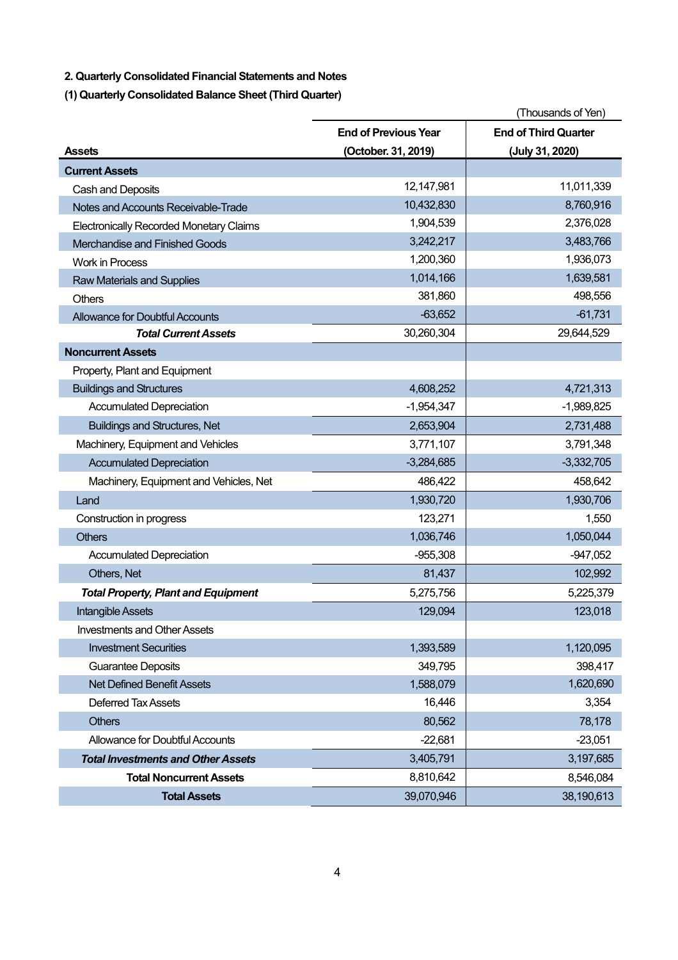## **2. Quarterly Consolidated Financial Statements and Notes**

**(1) Quarterly Consolidated Balance Sheet (Third Quarter)**

|                                                | (Thousands of Yen)          |                             |  |
|------------------------------------------------|-----------------------------|-----------------------------|--|
|                                                | <b>End of Previous Year</b> | <b>End of Third Quarter</b> |  |
| <b>Assets</b>                                  | (October. 31, 2019)         | (July 31, 2020)             |  |
| <b>Current Assets</b>                          |                             |                             |  |
| Cash and Deposits                              | 12,147,981                  | 11,011,339                  |  |
| Notes and Accounts Receivable-Trade            | 10,432,830                  | 8,760,916                   |  |
| <b>Electronically Recorded Monetary Claims</b> | 1,904,539                   | 2,376,028                   |  |
| Merchandise and Finished Goods                 | 3,242,217                   | 3,483,766                   |  |
| <b>Work in Process</b>                         | 1,200,360                   | 1,936,073                   |  |
| <b>Raw Materials and Supplies</b>              | 1,014,166                   | 1,639,581                   |  |
| Others                                         | 381,860                     | 498,556                     |  |
| <b>Allowance for Doubtful Accounts</b>         | $-63,652$                   | $-61,731$                   |  |
| <b>Total Current Assets</b>                    | 30,260,304                  | 29,644,529                  |  |
| <b>Noncurrent Assets</b>                       |                             |                             |  |
| Property, Plant and Equipment                  |                             |                             |  |
| <b>Buildings and Structures</b>                | 4,608,252                   | 4,721,313                   |  |
| <b>Accumulated Depreciation</b>                | $-1,954,347$                | $-1,989,825$                |  |
| <b>Buildings and Structures, Net</b>           | 2,653,904                   | 2,731,488                   |  |
| Machinery, Equipment and Vehicles              | 3,771,107                   | 3,791,348                   |  |
| <b>Accumulated Depreciation</b>                | $-3,284,685$                | $-3,332,705$                |  |
| Machinery, Equipment and Vehicles, Net         | 486,422                     | 458,642                     |  |
| Land                                           | 1,930,720                   | 1,930,706                   |  |
| Construction in progress                       | 123,271                     | 1,550                       |  |
| <b>Others</b>                                  | 1,036,746                   | 1,050,044                   |  |
| <b>Accumulated Depreciation</b>                | $-955,308$                  | $-947,052$                  |  |
| Others, Net                                    | 81,437                      | 102,992                     |  |
| <b>Total Property, Plant and Equipment</b>     | 5,275,756                   | 5,225,379                   |  |
| Intangible Assets                              | 129,094                     | 123,018                     |  |
| <b>Investments and Other Assets</b>            |                             |                             |  |
| <b>Investment Securities</b>                   | 1,393,589                   | 1,120,095                   |  |
| <b>Guarantee Deposits</b>                      | 349,795                     | 398,417                     |  |
| <b>Net Defined Benefit Assets</b>              | 1,588,079                   | 1,620,690                   |  |
| <b>Deferred Tax Assets</b>                     | 16,446                      | 3,354                       |  |
| <b>Others</b>                                  | 80,562                      | 78,178                      |  |
| Allowance for Doubtful Accounts                | $-22,681$                   | $-23,051$                   |  |
| <b>Total Investments and Other Assets</b>      | 3,405,791                   | 3,197,685                   |  |
| <b>Total Noncurrent Assets</b>                 | 8,810,642                   | 8,546,084                   |  |
| <b>Total Assets</b>                            | 39,070,946                  | 38,190,613                  |  |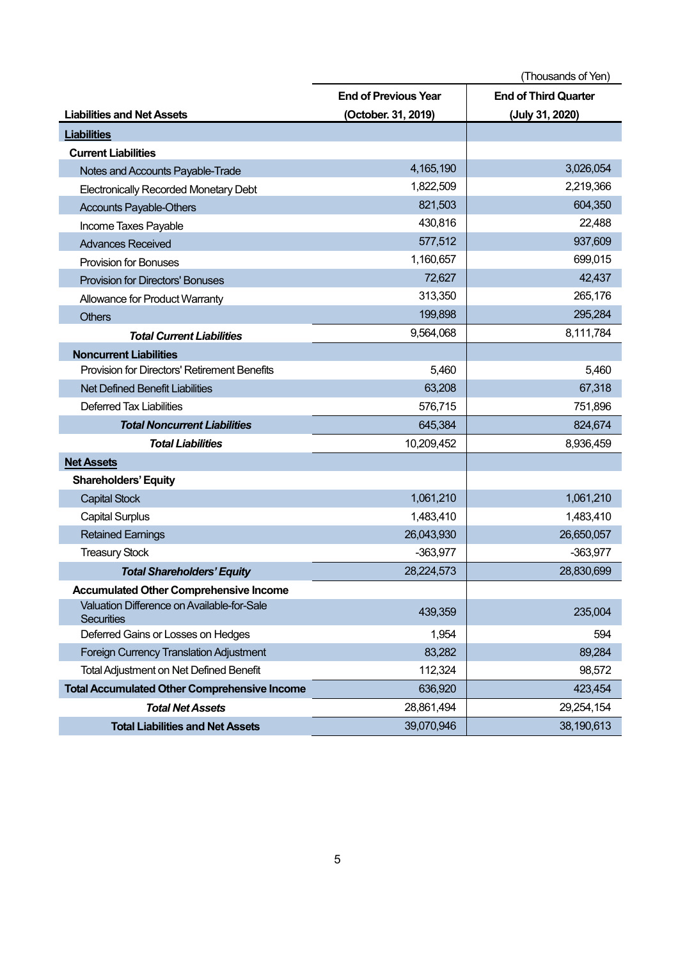|                                                                 | (Thousands of Yen)                                         |                 |  |
|-----------------------------------------------------------------|------------------------------------------------------------|-----------------|--|
|                                                                 | <b>End of Third Quarter</b><br><b>End of Previous Year</b> |                 |  |
| <b>Liabilities and Net Assets</b>                               | (October. 31, 2019)                                        | (July 31, 2020) |  |
| <b>Liabilities</b>                                              |                                                            |                 |  |
| <b>Current Liabilities</b>                                      |                                                            |                 |  |
| Notes and Accounts Payable-Trade                                | 4,165,190                                                  | 3,026,054       |  |
| <b>Electronically Recorded Monetary Debt</b>                    | 1,822,509                                                  | 2,219,366       |  |
| <b>Accounts Payable-Others</b>                                  | 821,503                                                    | 604,350         |  |
| Income Taxes Payable                                            | 430,816                                                    | 22,488          |  |
| <b>Advances Received</b>                                        | 577,512                                                    | 937,609         |  |
| <b>Provision for Bonuses</b>                                    | 1,160,657                                                  | 699,015         |  |
| <b>Provision for Directors' Bonuses</b>                         | 72,627                                                     | 42,437          |  |
| Allowance for Product Warranty                                  | 313,350                                                    | 265,176         |  |
| <b>Others</b>                                                   | 199,898                                                    | 295,284         |  |
| <b>Total Current Liabilities</b>                                | 9,564,068                                                  | 8,111,784       |  |
| <b>Noncurrent Liabilities</b>                                   |                                                            |                 |  |
| Provision for Directors' Retirement Benefits                    | 5,460                                                      | 5,460           |  |
| <b>Net Defined Benefit Liabilities</b>                          | 63,208                                                     | 67,318          |  |
| <b>Deferred Tax Liabilities</b>                                 | 576,715                                                    | 751,896         |  |
| <b>Total Noncurrent Liabilities</b>                             | 645,384                                                    | 824,674         |  |
| <b>Total Liabilities</b>                                        | 10,209,452                                                 | 8,936,459       |  |
| <b>Net Assets</b>                                               |                                                            |                 |  |
| <b>Shareholders' Equity</b>                                     |                                                            |                 |  |
| <b>Capital Stock</b>                                            | 1,061,210                                                  | 1,061,210       |  |
| <b>Capital Surplus</b>                                          | 1,483,410                                                  | 1,483,410       |  |
| <b>Retained Earnings</b>                                        | 26,043,930                                                 | 26,650,057      |  |
| <b>Treasury Stock</b>                                           | $-363,977$                                                 | $-363,977$      |  |
| <b>Total Shareholders' Equity</b>                               | 28,224,573                                                 | 28,830,699      |  |
| <b>Accumulated Other Comprehensive Income</b>                   |                                                            |                 |  |
| Valuation Difference on Available-for-Sale<br><b>Securities</b> | 439,359                                                    | 235,004         |  |
| Deferred Gains or Losses on Hedges                              | 1,954                                                      | 594             |  |
| Foreign Currency Translation Adjustment                         | 83,282                                                     | 89,284          |  |
| <b>Total Adjustment on Net Defined Benefit</b>                  | 112,324                                                    | 98,572          |  |
| <b>Total Accumulated Other Comprehensive Income</b>             | 636,920                                                    | 423,454         |  |
| <b>Total Net Assets</b>                                         | 28,861,494                                                 | 29,254,154      |  |
| <b>Total Liabilities and Net Assets</b>                         | 39,070,946                                                 | 38,190,613      |  |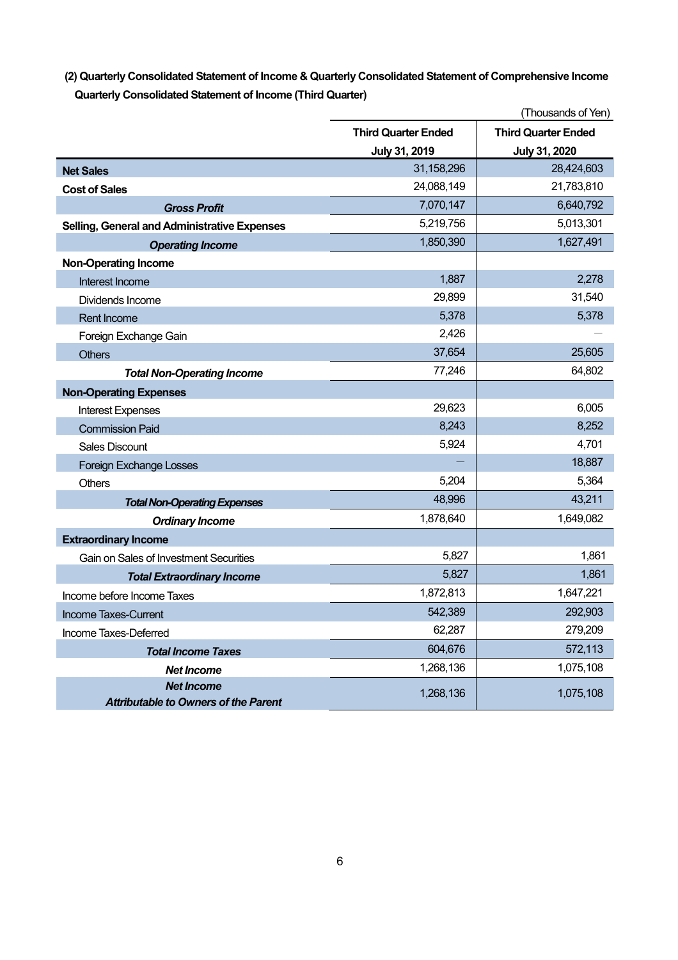## **(2) Quarterly Consolidated Statement of Income & Quarterly Consolidated Statement of Comprehensive Income Quarterly Consolidated Statement of Income (Third Quarter)**

|                                                                  | (Thousands of Yen)         |                            |  |
|------------------------------------------------------------------|----------------------------|----------------------------|--|
|                                                                  | <b>Third Quarter Ended</b> | <b>Third Quarter Ended</b> |  |
|                                                                  | July 31, 2019              | July 31, 2020              |  |
| <b>Net Sales</b>                                                 | 31,158,296                 | 28,424,603                 |  |
| <b>Cost of Sales</b>                                             | 24,088,149                 | 21,783,810                 |  |
| <b>Gross Profit</b>                                              | 7,070,147                  | 6,640,792                  |  |
| Selling, General and Administrative Expenses                     | 5,219,756                  | 5,013,301                  |  |
| <b>Operating Income</b>                                          | 1,850,390                  | 1,627,491                  |  |
| <b>Non-Operating Income</b>                                      |                            |                            |  |
| Interest Income                                                  | 1,887                      | 2,278                      |  |
| Dividends Income                                                 | 29,899                     | 31,540                     |  |
| Rent Income                                                      | 5,378                      | 5,378                      |  |
| Foreign Exchange Gain                                            | 2,426                      |                            |  |
| <b>Others</b>                                                    | 37,654                     | 25,605                     |  |
| <b>Total Non-Operating Income</b>                                | 77,246                     | 64,802                     |  |
| <b>Non-Operating Expenses</b>                                    |                            |                            |  |
| <b>Interest Expenses</b>                                         | 29,623                     | 6,005                      |  |
| <b>Commission Paid</b>                                           | 8,243                      | 8,252                      |  |
| <b>Sales Discount</b>                                            | 5,924                      | 4,701                      |  |
| <b>Foreign Exchange Losses</b>                                   |                            | 18,887                     |  |
| <b>Others</b>                                                    | 5,204                      | 5,364                      |  |
| <b>Total Non-Operating Expenses</b>                              | 48,996                     | 43,211                     |  |
| <b>Ordinary Income</b>                                           | 1,878,640                  | 1,649,082                  |  |
| <b>Extraordinary Income</b>                                      |                            |                            |  |
| Gain on Sales of Investment Securities                           | 5,827                      | 1,861                      |  |
| <b>Total Extraordinary Income</b>                                | 5,827                      | 1,861                      |  |
| Income before Income Taxes                                       | 1,872,813                  | 1,647,221                  |  |
| Income Taxes-Current                                             | 542,389                    | 292,903                    |  |
| Income Taxes-Deferred                                            | 62,287                     | 279,209                    |  |
| <b>Total Income Taxes</b>                                        | 604,676                    | 572,113                    |  |
| <b>Net Income</b>                                                | 1,268,136                  | 1,075,108                  |  |
| <b>Net Income</b><br><b>Attributable to Owners of the Parent</b> | 1,268,136                  | 1,075,108                  |  |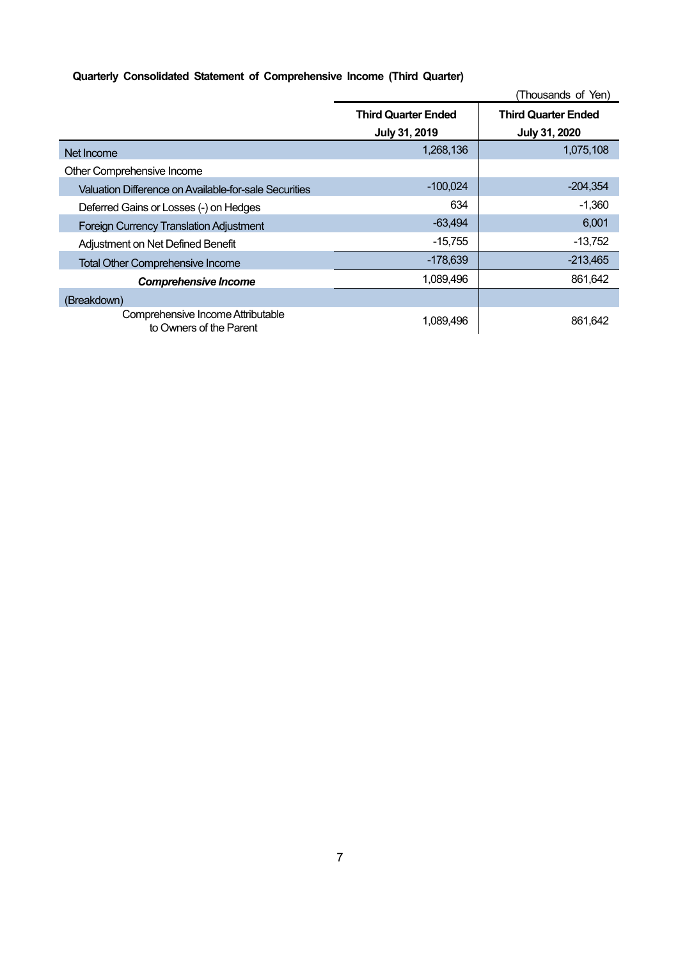## **Quarterly Consolidated Statement of Comprehensive Income (Third Quarter)**

|                                                              | (Thousands of Yen)                          |                                             |  |
|--------------------------------------------------------------|---------------------------------------------|---------------------------------------------|--|
|                                                              | <b>Third Quarter Ended</b><br>July 31, 2019 | <b>Third Quarter Ended</b><br>July 31, 2020 |  |
| Net Income                                                   | 1,268,136                                   | 1,075,108                                   |  |
| Other Comprehensive Income                                   |                                             |                                             |  |
| Valuation Difference on Available-for-sale Securities        | $-100,024$                                  | $-204,354$                                  |  |
| Deferred Gains or Losses (-) on Hedges                       | 634                                         | $-1,360$                                    |  |
| <b>Foreign Currency Translation Adjustment</b>               | $-63,494$                                   | 6,001                                       |  |
| Adjustment on Net Defined Benefit                            | $-15,755$                                   | $-13,752$                                   |  |
| <b>Total Other Comprehensive Income</b>                      | $-178,639$                                  | $-213,465$                                  |  |
| <b>Comprehensive Income</b>                                  | 1,089,496                                   | 861,642                                     |  |
| (Breakdown)                                                  |                                             |                                             |  |
| Comprehensive Income Attributable<br>to Owners of the Parent | 1.089.496                                   | 861,642                                     |  |